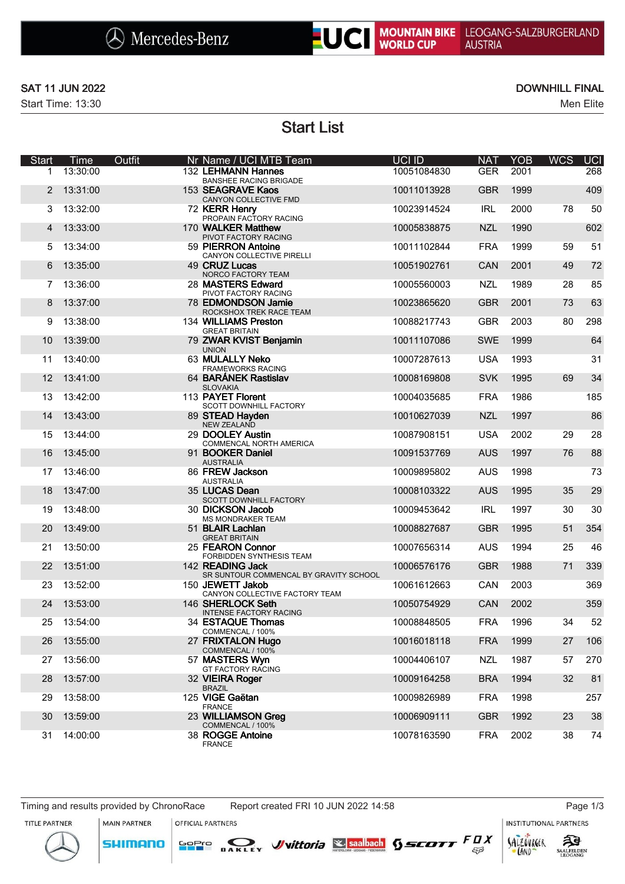

### SAT 11 JUN 2022 DOWNHILL FINAL

Start Time: 13:30 Men Elite

Start List

| <b>Start</b> | Time     | Outfit | Nr Name / UCI MTB Team                                     | UCI ID      | <b>NAT</b> | <b>YOB</b> | <b>WCS</b> | <b>UCI</b> |
|--------------|----------|--------|------------------------------------------------------------|-------------|------------|------------|------------|------------|
| 1            | 13:30:00 |        | 132 LEHMANN Hannes<br><b>BANSHEE RACING BRIGADE</b>        | 10051084830 | <b>GER</b> | 2001       |            | 268        |
| 2            | 13:31:00 |        | 153 SEAGRAVE Kaos<br>CANYON COLLECTIVE FMD                 | 10011013928 | <b>GBR</b> | 1999       |            | 409        |
| 3            | 13:32:00 |        | 72 KERR Henry<br>PROPAIN FACTORY RACING                    | 10023914524 | <b>IRL</b> | 2000       | 78         | 50         |
| 4            | 13:33:00 |        | 170 WALKER Matthew<br>PIVOT FACTORY RACING                 | 10005838875 | <b>NZL</b> | 1990       |            | 602        |
| 5            | 13:34:00 |        | 59 PIERRON Antoine<br>CANYON COLLECTIVE PIRELLI            | 10011102844 | <b>FRA</b> | 1999       | 59         | 51         |
| 6            | 13:35:00 |        | 49 CRUZ Lucas<br>NORCO FACTORY TEAM                        | 10051902761 | <b>CAN</b> | 2001       | 49         | 72         |
| 7            | 13:36:00 |        | 28 MASTERS Edward<br>PIVOT FACTORY RACING                  | 10005560003 | <b>NZL</b> | 1989       | 28         | 85         |
| 8            | 13:37:00 |        | 78 EDMONDSON Jamie<br>ROCKSHOX TREK RACE TEAM              | 10023865620 | <b>GBR</b> | 2001       | 73         | 63         |
| 9            | 13:38:00 |        | 134 WILLIAMS Preston<br><b>GREAT BRITAIN</b>               | 10088217743 | <b>GBR</b> | 2003       | 80         | 298        |
| 10           | 13:39:00 |        | 79 ZWAR KVIST Benjamin<br><b>UNION</b>                     | 10011107086 | <b>SWE</b> | 1999       |            | 64         |
| 11           | 13:40:00 |        | 63 MULALLY Neko<br><b>FRAMEWORKS RACING</b>                | 10007287613 | <b>USA</b> | 1993       |            | 31         |
| 12           | 13:41:00 |        | 64 BARÁNEK Rastislav<br><b>SLOVAKIA</b>                    | 10008169808 | <b>SVK</b> | 1995       | 69         | 34         |
| 13           | 13:42:00 |        | 113 PAYET Florent<br>SCOTT DOWNHILL FACTORY                | 10004035685 | <b>FRA</b> | 1986       |            | 185        |
| 14           | 13:43:00 |        | 89 STEAD Hayden<br><b>NEW ZEALAND</b>                      | 10010627039 | <b>NZL</b> | 1997       |            | 86         |
| 15           | 13:44:00 |        | 29 DOOLEY Austin<br>COMMENCAL NORTH AMERICA                | 10087908151 | <b>USA</b> | 2002       | 29         | 28         |
| 16           | 13:45:00 |        | 91 BOOKER Daniel<br><b>AUSTRALIA</b>                       | 10091537769 | <b>AUS</b> | 1997       | 76         | 88         |
| 17           | 13:46:00 |        | 86 FREW Jackson<br><b>AUSTRALIA</b>                        | 10009895802 | <b>AUS</b> | 1998       |            | 73         |
| 18           | 13:47:00 |        | 35 LUCAS Dean<br>SCOTT DOWNHILL FACTORY                    | 10008103322 | <b>AUS</b> | 1995       | 35         | 29         |
| 19           | 13:48:00 |        | 30 DICKSON Jacob<br><b>MS MONDRAKER TEAM</b>               | 10009453642 | <b>IRL</b> | 1997       | 30         | 30         |
| 20           | 13:49:00 |        | 51 BLAIR Lachlan<br><b>GREAT BRITAIN</b>                   | 10008827687 | <b>GBR</b> | 1995       | 51         | 354        |
| 21           | 13:50:00 |        | 25 FEARON Connor<br>FORBIDDEN SYNTHESIS TEAM               | 10007656314 | <b>AUS</b> | 1994       | 25         | 46         |
| 22           | 13:51:00 |        | 142 READING Jack<br>SR SUNTOUR COMMENCAL BY GRAVITY SCHOOL | 10006576176 | <b>GBR</b> | 1988       | 71         | 339        |
| 23           | 13:52:00 |        | 150 JEWETT Jakob<br>CANYON COLLECTIVE FACTORY TEAM         | 10061612663 | CAN        | 2003       |            | 369        |
| 24           | 13:53:00 |        | 146 SHERLOCK Seth<br>INTENSE FACTORY RACING                | 10050754929 | CAN        | 2002       |            | 359        |
| 25           | 13:54:00 |        | 34 ESTAQUE Thomas<br>COMMENCAL / 100%                      | 10008848505 | <b>FRA</b> | 1996       | 34         | 52         |
| 26           | 13:55:00 |        | 27 FRIXTALON Hugo<br>COMMENCAL / 100%                      | 10016018118 | <b>FRA</b> | 1999       | 27         | 106        |
| 27           | 13:56:00 |        | 57 MASTERS Wyn<br>GT FACTORY RACING                        | 10004406107 | <b>NZL</b> | 1987       | 57         | 270        |
| 28           | 13:57:00 |        | 32 VIEIRA Roger<br><b>BRAZIL</b>                           | 10009164258 | <b>BRA</b> | 1994       | 32         | 81         |
| 29           | 13:58:00 |        | 125 VIGE Gaëtan<br><b>FRANCE</b>                           | 10009826989 | <b>FRA</b> | 1998       |            | 257        |
| 30           | 13:59:00 |        | 23 WILLIAMSON Greg<br>COMMENCAL / 100%                     | 10006909111 | <b>GBR</b> | 1992       | 23         | 38         |
| 31           | 14:00:00 |        | 38 ROGGE Antoine<br><b>FRANCE</b>                          | 10078163590 | <b>FRA</b> | 2002       | 38         | 74         |

**INSTITUTIONAL PARTNERS** 

拜

**SAALFELDEN** 

SALZOVREER

LAND





OFFICIAL PARTNERS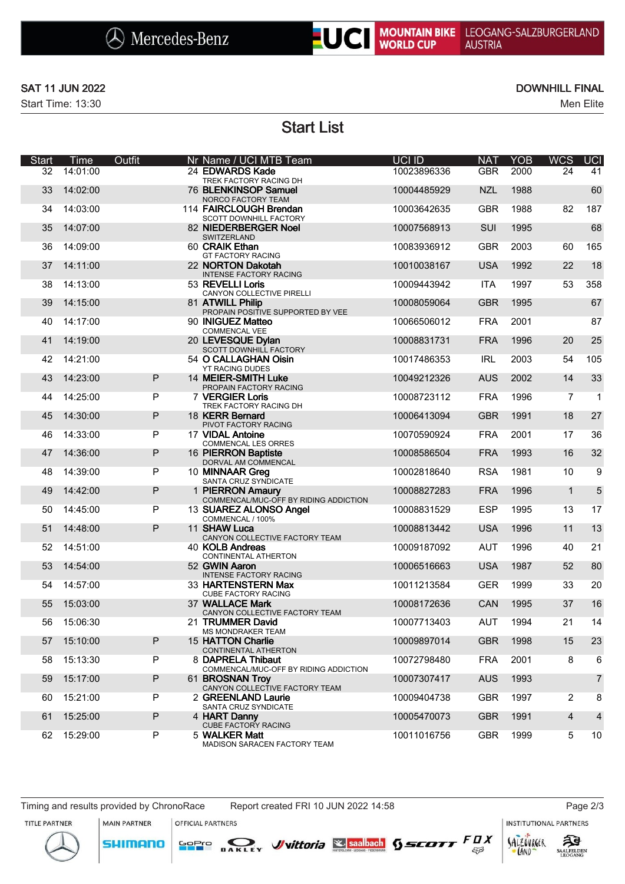

### SAT 11 JUN 2022 DOWNHILL FINAL

Start Time: 13:30 Men Elite

Start List

| <b>Start</b> | <b>Time</b> | Outfit       | Nr Name / UCI MTB Team                                     | UCI ID      | <b>NAT</b> | <b>YOB</b> | <b>WCS</b>     | <b>UCI</b>     |
|--------------|-------------|--------------|------------------------------------------------------------|-------------|------------|------------|----------------|----------------|
| 32           | 14:01:00    |              | 24 EDWARDS Kade<br>TREK FACTORY RACING DH                  | 10023896336 | <b>GBR</b> | 2000       | 24             | 41             |
| 33           | 14:02:00    |              | 76 BLENKINSOP Samuel<br>NORCO FACTORY TEAM                 | 10004485929 | <b>NZL</b> | 1988       |                | 60             |
| 34           | 14:03:00    |              | 114 FAIRCLOUGH Brendan<br>SCOTT DOWNHILL FACTORY           | 10003642635 | <b>GBR</b> | 1988       | 82             | 187            |
| 35           | 14:07:00    |              | 82 NIEDERBERGER Noel<br>SWITZERLAND                        | 10007568913 | SUI        | 1995       |                | 68             |
| 36           | 14:09:00    |              | 60 CRAIK Ethan<br><b>GT FACTORY RACING</b>                 | 10083936912 | <b>GBR</b> | 2003       | 60             | 165            |
| 37           | 14:11:00    |              | 22 NORTON Dakotah<br><b>INTENSE FACTORY RACING</b>         | 10010038167 | <b>USA</b> | 1992       | 22             | 18             |
| 38           | 14:13:00    |              | 53 REVELLI Loris<br>CANYON COLLECTIVE PIRELLI              | 10009443942 | <b>ITA</b> | 1997       | 53             | 358            |
| 39           | 14:15:00    |              | 81 ATWILL Philip<br>PROPAIN POSITIVE SUPPORTED BY VEE      | 10008059064 | <b>GBR</b> | 1995       |                | 67             |
| 40           | 14:17:00    |              | 90 INIGUEZ Matteo<br>COMMENCAL VEE                         | 10066506012 | <b>FRA</b> | 2001       |                | 87             |
| 41           | 14:19:00    |              | 20 LEVESQUE Dylan<br>SCOTT DOWNHILL FACTORY                | 10008831731 | <b>FRA</b> | 1996       | 20             | 25             |
| 42           | 14:21:00    |              | 54 O CALLAGHAN Oisin<br>YT RACING DUDES                    | 10017486353 | <b>IRL</b> | 2003       | 54             | 105            |
| 43           | 14:23:00    | $\mathsf{P}$ | 14 MEIER-SMITH Luke<br>PROPAIN FACTORY RACING              | 10049212326 | <b>AUS</b> | 2002       | 14             | 33             |
| 44           | 14:25:00    | P            | 7 VERGIER Loris<br>TREK FACTORY RACING DH                  | 10008723112 | <b>FRA</b> | 1996       | $\overline{7}$ | $\mathbf{1}$   |
| 45           | 14:30:00    | ${\sf P}$    | 18 KERR Bernard<br>PIVOT FACTORY RACING                    | 10006413094 | <b>GBR</b> | 1991       | 18             | 27             |
| 46           | 14:33:00    | P            | 17 VIDAL Antoine<br><b>COMMENCAL LES ORRES</b>             | 10070590924 | <b>FRA</b> | 2001       | 17             | 36             |
| 47           | 14:36:00    | ${\sf P}$    | 16 PIERRON Baptiste<br>DORVAL AM COMMENCAL                 | 10008586504 | <b>FRA</b> | 1993       | 16             | 32             |
| 48           | 14:39:00    | P            | 10 MINNAAR Greg<br>SANTA CRUZ SYNDICATE                    | 10002818640 | <b>RSA</b> | 1981       | 10             | 9              |
| 49           | 14:42:00    | ${\sf P}$    | 1 PIERRON Amaury<br>COMMENCAL/MUC-OFF BY RIDING ADDICTION  | 10008827283 | <b>FRA</b> | 1996       | $\mathbf{1}$   | 5              |
| 50           | 14:45:00    | P            | 13 SUAREZ ALONSO Angel<br>COMMENCAL / 100%                 | 10008831529 | <b>ESP</b> | 1995       | 13             | 17             |
| 51           | 14:48:00    | P            | 11 SHAW Luca<br>CANYON COLLECTIVE FACTORY TEAM             | 10008813442 | <b>USA</b> | 1996       | 11             | 13             |
| 52           | 14:51:00    |              | 40 KOLB Andreas<br>CONTINENTAL ATHERTON                    | 10009187092 | <b>AUT</b> | 1996       | 40             | 21             |
| 53           | 14:54:00    |              | 52 GWIN Aaron<br>INTENSE FACTORY RACING                    | 10006516663 | <b>USA</b> | 1987       | 52             | 80             |
| 54           | 14:57:00    |              | 33 HARTENSTERN Max<br><b>CUBE FACTORY RACING</b>           | 10011213584 | <b>GER</b> | 1999       | 33             | 20             |
| 55           | 15:03:00    |              | 37 WALLACE Mark<br>CANYON COLLECTIVE FACTORY TEAM          | 10008172636 | CAN        | 1995       | 37             | 16             |
| 56           | 15:06:30    |              | 21 TRUMMER David<br><b>MS MONDRAKER TEAM</b>               | 10007713403 | <b>AUT</b> | 1994       | 21             | 14             |
| 57           | 15:10:00    | P            | 15 HATTON Charlie<br>CONTINENTAL ATHERTON                  | 10009897014 | <b>GBR</b> | 1998       | 15             | 23             |
| 58           | 15:13:30    | P            | 8 DAPRELA Thibaut<br>COMMENCAL/MUC-OFF BY RIDING ADDICTION | 10072798480 | <b>FRA</b> | 2001       | 8              | 6              |
| 59           | 15:17:00    | P            | 61 BROSNAN Trov<br>CANYON COLLECTIVE FACTORY TEAM          | 10007307417 | <b>AUS</b> | 1993       |                | $\overline{7}$ |
| 60           | 15:21:00    | P            | 2 GREENLAND Laurie<br>SANTA CRUZ SYNDICATE                 | 10009404738 | <b>GBR</b> | 1997       | $\overline{2}$ | 8              |
| 61           | 15:25:00    | P            | 4 HART Danny<br><b>CUBE FACTORY RACING</b>                 | 10005470073 | <b>GBR</b> | 1991       | 4              | $\overline{4}$ |
| 62           | 15:29:00    | P            | 5 WALKER Matt<br>MADISON SARACEN FACTORY TEAM              | 10011016756 | <b>GBR</b> | 1999       | 5              | 10             |

### Timing and results provided by ChronoRace Report created FRI 10 JUN 2022 14:58 Page 2/3

MAIN PARTNER

OFFICIAL PARTNERS

SOPIO DAKLEY Vittoria & saabach SSCOTT FUX

**INSTITUTIONAL PARTNERS** 

TITLE PARTNER